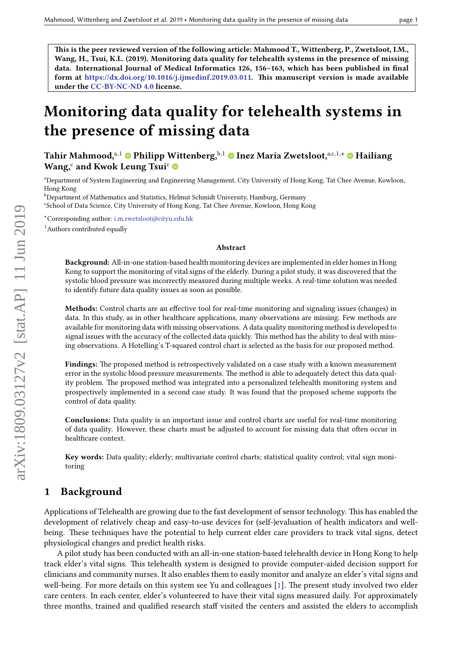This is the peer reviewed version of the following article: Mahmood T., Wittenberg, P., Zwetsloot, I.M., Wang, H., Tsui, K.L. (2019). Monitoring data quality for telehealth systems in the presence of missing data. International Journal of Medical Informatics 126, 156–163, which has been published in final form at [https://dx.doi.org/10.1016/j.ijmedinf.2019.03.011.](https://dx.doi.org/10.1016/j.ijmedinf.2019.03.011) This manuscript version is made available under the [CC-BY-NC-ND 4.0](https://creativecommons.org/licenses/by-nc-nd/4.0) license.

# Monitoring data quality for telehealth systems in the presence of missing data

Tahir Mahmood,<sup>a</sup>*,*<sup>1</sup> Philipp Wittenberg,<sup>b</sup>*,*<sup>1</sup> Inez Maria Zwetsloot,a,c*,*1*,?* Hailiang Wang,<sup>c</sup> and Kwok Leung Tsui<sup>c</sup>

<sup>a</sup>Department of System Engineering and Engineering Management, City University of Hong Kong, Tat Chee Avenue, Kowloon, Hong Kong

**b**Department of Mathematics and Statistics, Helmut Schmidt University, Hamburg, Germany

<sup>c</sup>School of Data Science, City University of Hong Kong, Tat Chee Avenue, Kowloon, Hong Kong

*?*Corresponding author: [i.m.zwetsloot@cityu.edu.hk](mailto:i.m.zwetsloot@cityu.edu.hk)

 $<sup>1</sup>$ Authors contributed equally</sup>

#### Abstract

Background: All-in-one station-based health monitoring devices are implemented in elder homes in Hong Kong to support the monitoring of vital signs of the elderly. During a pilot study, it was discovered that the systolic blood pressure was incorrectly measured during multiple weeks. A real-time solution was needed to identify future data quality issues as soon as possible.

Methods: Control charts are an effective tool for real-time monitoring and signaling issues (changes) in data. In this study, as in other healthcare applications, many observations are missing. Few methods are available for monitoring data with missing observations. A data quality monitoring method is developed to signal issues with the accuracy of the collected data quickly. This method has the ability to deal with missing observations. A Hotelling's T-squared control chart is selected as the basis for our proposed method.

Findings: The proposed method is retrospectively validated on a case study with a known measurement error in the systolic blood pressure measurements. The method is able to adequately detect this data quality problem. The proposed method was integrated into a personalized telehealth monitoring system and prospectively implemented in a second case study. It was found that the proposed scheme supports the control of data quality.

Conclusions: Data quality is an important issue and control charts are useful for real-time monitoring of data quality. However, these charts must be adjusted to account for missing data that often occur in healthcare context.

Key words: Data quality; elderly; multivariate control charts; statistical quality control; vital sign monitoring

# 1 Background

Applications of Telehealth are growing due to the fast development of sensor technology. This has enabled the development of relatively cheap and easy-to-use devices for (self-)evaluation of health indicators and wellbeing. These techniques have the potential to help current elder care providers to track vital signs, detect physiological changes and predict health risks.

A pilot study has been conducted with an all-in-one station-based telehealth device in Hong Kong to help track elder's vital signs. This telehealth system is designed to provide computer-aided decision support for clinicians and community nurses. It also enables them to easily monitor and analyze an elder's vital signs and well-being. For more details on this system see Yu and colleagues [\[1\]](#page-9-0). The present study involved two elder care centers. In each center, elder's volunteered to have their vital signs measured daily. For approximately three months, trained and qualified research staff visited the centers and assisted the elders to accomplish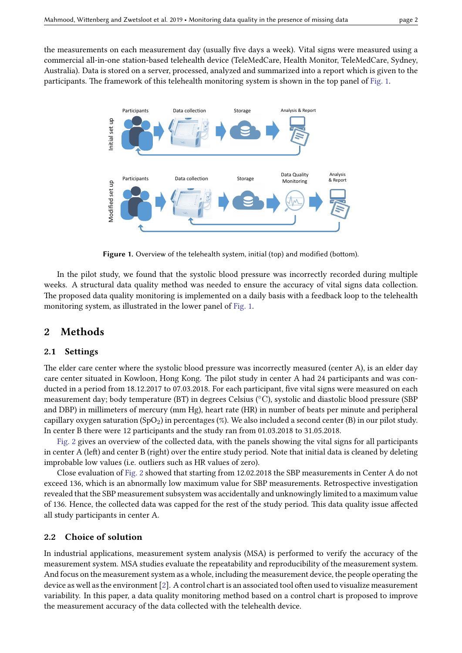<span id="page-1-0"></span>the measurements on each measurement day (usually five days a week). Vital signs were measured using a commercial all-in-one station-based telehealth device (TeleMedCare, Health Monitor, TeleMedCare, Sydney, Australia). Data is stored on a server, processed, analyzed and summarized into a report which is given to the participants. The framework of this telehealth monitoring system is shown in the top panel of [Fig. 1.](#page-1-0)



Figure 1. Overview of the telehealth system, initial (top) and modified (bottom).

In the pilot study, we found that the systolic blood pressure was incorrectly recorded during multiple weeks. A structural data quality method was needed to ensure the accuracy of vital signs data collection. The proposed data quality monitoring is implemented on a daily basis with a feedback loop to the telehealth monitoring system, as illustrated in the lower panel of [Fig. 1.](#page-1-0)

### 2 Methods

### 2.1 Settings

The elder care center where the systolic blood pressure was incorrectly measured (center A), is an elder day care center situated in Kowloon, Hong Kong. The pilot study in center A had 24 participants and was conducted in a period from 18.12.2017 to 07.03.2018. For each participant, five vital signs were measured on each measurement day; body temperature (BT) in degrees Celsius (◦C), systolic and diastolic blood pressure (SBP and DBP) in millimeters of mercury (mm Hg), heart rate (HR) in number of beats per minute and peripheral capillary oxygen saturation (SpO<sub>2</sub>) in percentages (%). We also included a second center (B) in our pilot study. In center B there were 12 participants and the study ran from 01.03.2018 to 31.05.2018.

[Fig. 2](#page-2-0) gives an overview of the collected data, with the panels showing the vital signs for all participants in center A (left) and center B (right) over the entire study period. Note that initial data is cleaned by deleting improbable low values (i.e. outliers such as HR values of zero).

Close evaluation of [Fig. 2](#page-2-0) showed that starting from 12.02.2018 the SBP measurements in Center A do not exceed 136, which is an abnormally low maximum value for SBP measurements. Retrospective investigation revealed that the SBP measurement subsystem was accidentally and unknowingly limited to a maximum value of 136. Hence, the collected data was capped for the rest of the study period. This data quality issue affected all study participants in center A.

### 2.2 Choice of solution

In industrial applications, measurement system analysis (MSA) is performed to verify the accuracy of the measurement system. MSA studies evaluate the repeatability and reproducibility of the measurement system. And focus on the measurement system as a whole, including the measurement device, the people operating the device as well as the environment [\[2\]](#page-9-1). A control chart is an associated tool often used to visualize measurement variability. In this paper, a data quality monitoring method based on a control chart is proposed to improve the measurement accuracy of the data collected with the telehealth device.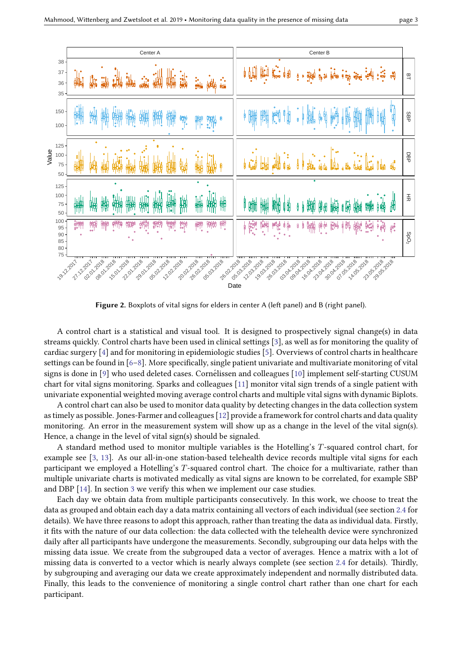<span id="page-2-0"></span>

Figure 2. Boxplots of vital signs for elders in center A (left panel) and B (right panel).

A control chart is a statistical and visual tool. It is designed to prospectively signal change(s) in data streams quickly. Control charts have been used in clinical settings [\[3\]](#page-10-0), as well as for monitoring the quality of cardiac surgery [\[4\]](#page-10-1) and for monitoring in epidemiologic studies [\[5\]](#page-10-2). Overviews of control charts in healthcare settings can be found in  $[6–8]$  $[6–8]$ . More specifically, single patient univariate and multivariate monitoring of vital signs is done in  $[9]$  who used deleted cases. Cornelissen and colleagues  $[10]$  $[10]$  implement self-starting CUSUM chart for vital signs monitoring. Sparks and colleagues [\[11\]](#page-10-7) monitor vital sign trends of a single patient with univariate exponential weighted moving average control charts and multiple vital signs with dynamic Biplots.

A control chart can also be used to monitor data quality by detecting changes in the data collection system as timely as possible. Jones-Farmer and colleagues [\[12\]](#page-10-8) provide a framework for control charts and data quality monitoring. An error in the measurement system will show up as a change in the level of the vital sign(s). Hence, a change in the level of vital sign(s) should be signaled.

A standard method used to monitor multiple variables is the Hotelling's *T*-squared control chart, for example see [\[3,](#page-10-0) [13\]](#page-10-9). As our all-in-one station-based telehealth device records multiple vital signs for each participant we employed a Hotelling's T-squared control chart. The choice for a multivariate, rather than multiple univariate charts is motivated medically as vital signs are known to be correlated, for example SBP and DBP [\[14\]](#page-10-10). In section [3](#page-6-0) we verify this when we implement our case studies.

Each day we obtain data from multiple participants consecutively. In this work, we choose to treat the data as grouped and obtain each day a data matrix containing all vectors of each individual (see section [2.4](#page-4-0) for details). We have three reasons to adopt this approach, rather than treating the data as individual data. Firstly, it fits with the nature of our data collection: the data collected with the telehealth device were synchronized daily after all participants have undergone the measurements. Secondly, subgrouping our data helps with the missing data issue. We create from the subgrouped data a vector of averages. Hence a matrix with a lot of missing data is converted to a vector which is nearly always complete (see section [2.4](#page-4-0) for details). Thirdly, by subgrouping and averaging our data we create approximately independent and normally distributed data. Finally, this leads to the convenience of monitoring a single control chart rather than one chart for each participant.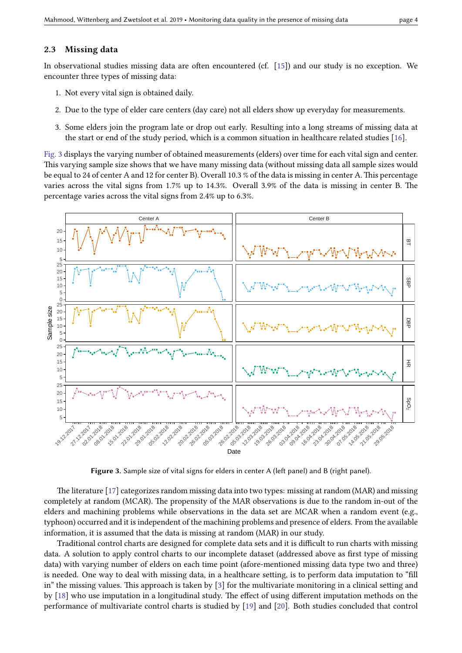### <span id="page-3-1"></span>2.3 Missing data

In observational studies missing data are often encountered (cf.  $[15]$ ) and our study is no exception. We encounter three types of missing data:

- 1. Not every vital sign is obtained daily.
- 2. Due to the type of elder care centers (day care) not all elders show up everyday for measurements.
- 3. Some elders join the program late or drop out early. Resulting into a long streams of missing data at the start or end of the study period, which is a common situation in healthcare related studies [\[16\]](#page-10-12).

[Fig. 3](#page-3-0) displays the varying number of obtained measurements (elders) over time for each vital sign and center. This varying sample size shows that we have many missing data (without missing data all sample sizes would be equal to 24 of center A and 12 for center B). Overall 10.3 % of the data is missing in center A. This percentage varies across the vital signs from  $1.7\%$  up to  $14.3\%$ . Overall  $3.9\%$  of the data is missing in center B. The percentage varies across the vital signs from 2.4% up to 6.3%.

<span id="page-3-0"></span>

Figure 3. Sample size of vital signs for elders in center A (left panel) and B (right panel).

The literature [\[17\]](#page-10-13) categorizes random missing data into two types: missing at random (MAR) and missing completely at random (MCAR). The propensity of the MAR observations is due to the random in-out of the elders and machining problems while observations in the data set are MCAR when a random event (e.g., typhoon) occurred and it is independent of the machining problems and presence of elders. From the available information, it is assumed that the data is missing at random (MAR) in our study.

Traditional control charts are designed for complete data sets and it is difficult to run charts with missing data. A solution to apply control charts to our incomplete dataset (addressed above as first type of missing data) with varying number of elders on each time point (afore-mentioned missing data type two and three) is needed. One way to deal with missing data, in a healthcare setting, is to perform data imputation to "fill in" the missing values. This approach is taken by  $[3]$  for the multivariate monitoring in a clinical setting and by  $[18]$  who use imputation in a longitudinal study. The effect of using different imputation methods on the performance of multivariate control charts is studied by [\[19\]](#page-10-15) and [\[20\]](#page-10-16). Both studies concluded that control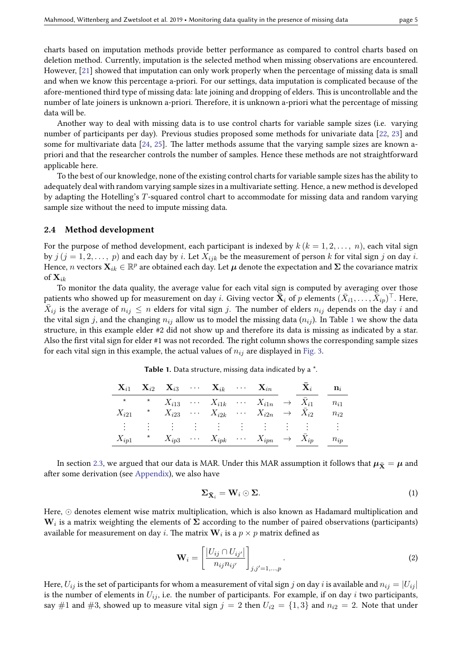charts based on imputation methods provide better performance as compared to control charts based on deletion method. Currently, imputation is the selected method when missing observations are encountered. However, [\[21\]](#page-11-0) showed that imputation can only work properly when the percentage of missing data is small and when we know this percentage a-priori. For our settings, data imputation is complicated because of the afore-mentioned third type of missing data: late joining and dropping of elders. This is uncontrollable and the number of late joiners is unknown a-priori. Therefore, it is unknown a-priori what the percentage of missing data will be.

Another way to deal with missing data is to use control charts for variable sample sizes (i.e. varying number of participants per day). Previous studies proposed some methods for univariate data [\[22,](#page-11-1) [23\]](#page-11-2) and some for multivariate data  $[24, 25]$  $[24, 25]$  $[24, 25]$ . The latter methods assume that the varying sample sizes are known apriori and that the researcher controls the number of samples. Hence these methods are not straightforward applicable here.

To the best of our knowledge, none of the existing control charts for variable sample sizes has the ability to adequately deal with random varying sample sizes in a multivariate setting. Hence, a new method is developed by adapting the Hotelling's *T*-squared control chart to accommodate for missing data and random varying sample size without the need to impute missing data.

#### <span id="page-4-0"></span>2.4 Method development

For the purpose of method development, each participant is indexed by  $k$  ( $k = 1, 2, \ldots, n$ ), each vital sign by  $j$  ( $j = 1, 2, ..., p$ ) and each day by *i*. Let  $X_{ijk}$  be the measurement of person *k* for vital sign *j* on day *i*. Hence,  $n$  vectors  $\mathbf{X}_{ik} \in \mathbb{R}^p$  are obtained each day. Let  $\bm{\mu}$  denote the expectation and  $\bm{\Sigma}$  the covariance matrix of **X***ik*

To monitor the data quality, the average value for each vital sign is computed by averaging over those patients who showed up for measurement on day  $i$ . Giving vector  $\mathbf{\bar{\bar{X}}}_i$  of  $p$  elements  $(\bar{X}_{i1},\ldots,\bar{X}_{ip})^\top$ . Here,  $\bar{X}_{ij}$  is the average of  $n_{ij} \le n$  elders for vital sign *j*. The number of elders  $n_{ij}$  depends on the day *i* and the vital sign *j*, and the changing  $n_{ij}$  allow us to model the missing data  $(n_{ij})$ . In Table [1](#page-4-1) we show the data structure, in this example elder #2 did not show up and therefore its data is missing as indicated by a star. Also the first vital sign for elder #1 was not recorded. The right column shows the corresponding sample sizes for each vital sign in this example, the actual values of  $n_{ij}$  are displayed in [Fig. 3.](#page-3-0)

Table 1. Data structure, missing data indicated by a \*.

<span id="page-4-1"></span>

|                |  |  | $\mathbf{X}_{i1}$ $\mathbf{X}_{i2}$ $\mathbf{X}_{i3}$ $\cdots$ $\mathbf{X}_{ik}$ $\cdots$ $\mathbf{X}_{in}$ $\mathbf{X}_{i}$ |  | $\mathbf{n}_i$ |
|----------------|--|--|------------------------------------------------------------------------------------------------------------------------------|--|----------------|
| $\star$        |  |  | $X_{i13} \quad \cdots \quad X_{i1k} \quad \cdots \quad X_{i1n} \quad \rightarrow \quad X_{i1} \quad n_{i1}$                  |  |                |
| $X_{i21}$      |  |  | $X_{i23} \quad \cdots \quad X_{i2k} \quad \cdots \quad X_{i2n} \quad \rightarrow \quad X_{i2}$                               |  | $n_{i2}$       |
| $\ddot{\cdot}$ |  |  |                                                                                                                              |  |                |
| $X_{ip1}$      |  |  | $X_{ip3} \cdots X_{ipk} \cdots X_{ipn} \rightarrow X_{ip} \cdots n_{ip}$                                                     |  |                |

In section [2.3,](#page-3-1) we argued that our data is MAR. Under this MAR assumption it follows that  $\mu_{\bar{x}} = \mu$  and after some derivation (see [Appendix\)](#page-11-5), we also have

<span id="page-4-2"></span>
$$
\Sigma_{\bar{\mathbf{X}}_i} = \mathbf{W}_i \odot \Sigma.
$$
 (1)

Here,  $\odot$  denotes element wise matrix multiplication, which is also known as Hadamard multiplication and **W***<sup>i</sup>* is a matrix weighting the elements of **Σ** according to the number of paired observations (participants) available for measurement on day  $i.$  The matrix  $\mathbf{W}_i$  is a  $p\times p$  matrix defined as

<span id="page-4-3"></span>
$$
\mathbf{W}_{i} = \left[\frac{|U_{ij} \cap U_{ij'}|}{n_{ij}n_{ij'}}\right]_{j,j'=1,\dots,p}.
$$
\n(2)

Here,  $U_{ij}$  is the set of participants for whom a measurement of vital sign *j* on day *i* is available and  $n_{ij} = |U_{ij}|$ is the number of elements in  $U_{ij}$ , i.e. the number of participants. For example, if on day  $i$  two participants, say #1 and #3, showed up to measure vital sign  $j = 2$  then  $U_{i2} = \{1,3\}$  and  $n_{i2} = 2$ . Note that under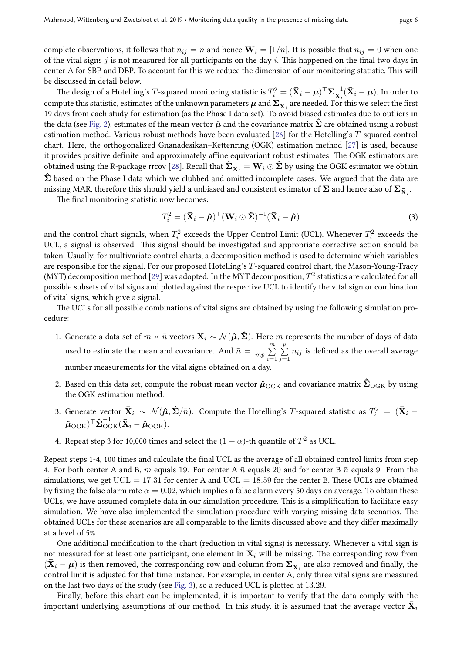complete observations, it follows that  $n_{ij} = n$  and hence  $\mathbf{W}_i = [1/n]$ . It is possible that  $n_{ij} = 0$  when one of the vital signs  $j$  is not measured for all participants on the day  $i$ . This happened on the final two days in center A for SBP and DBP. To account for this we reduce the dimension of our monitoring statistic. This will be discussed in detail below.

The design of a Hotelling's  $T$ -squared monitoring statistic is  $T_i^2 = (\mathbf{\bar{X}}_i - \boldsymbol{\mu})^\top \mathbf{\Sigma}_{\mathbf{\bar{X}}_i}^{-1} (\mathbf{\bar{X}}_i - \boldsymbol{\mu})$ . In order to compute this statistic, estimates of the unknown parameters  $\mu$  and  $\Sigma_{\bar{{\bf X}}_i}$  are needed. For this we select the first 19 days from each study for estimation (as the Phase I data set). To avoid biased estimates due to outliers in the data (see [Fig. 2\)](#page-2-0), estimates of the mean vector  $\hat{\mu}$  and the covariance matrix  $\hat{\Sigma}$  are obtained using a robust estimation method. Various robust methods have been evaluated [\[26\]](#page-11-6) for the Hotelling's *T*-squared control chart. Here, the orthogonalized Gnanadesikan–Kettenring (OGK) estimation method  $[27]$  is used, because it provides positive definite and approximately affine equivariant robust estimates. The OGK estimators are obtained using the R-package rrcov [\[28\]](#page-11-8). Recall that  $\mathbf{\hat{\Sigma}_{\bar{X}_i} = W_i \odot \mathbf{\hat{\Sigma}}}$  by using the OGK estimator we obtain  $\hat{\Sigma}$  based on the Phase I data which we clubbed and omitted incomplete cases. We argued that the data are missing MAR, therefore this should yield a unbiased and consistent estimator of  $\Sigma$  and hence also of  $\Sigma_{\bar{{\bf X}}_i}$ .

The final monitoring statistic now becomes:

<span id="page-5-0"></span>
$$
T_i^2 = (\bar{\mathbf{X}}_i - \hat{\boldsymbol{\mu}})^{\top} (\mathbf{W}_i \odot \hat{\boldsymbol{\Sigma}})^{-1} (\bar{\mathbf{X}}_i - \hat{\boldsymbol{\mu}})
$$
(3)

and the control chart signals, when  $T_i^2$  exceeds the Upper Control Limit (UCL). Whenever  $T_i^2$  exceeds the UCL, a signal is observed. This signal should be investigated and appropriate corrective action should be taken. Usually, for multivariate control charts, a decomposition method is used to determine which variables are responsible for the signal. For our proposed Hotelling's *T*-squared control chart, the Mason-Young-Tracy (MYT) decomposition method [\[29\]](#page-11-9) was adopted. In the MYT decomposition,  $T^2$  statistics are calculated for all possible subsets of vital signs and plotted against the respective UCL to identify the vital sign or combination of vital signs, which give a signal.

The UCLs for all possible combinations of vital signs are obtained by using the following simulation procedure:

- 1. Generate a data set of  $m \times \bar{n}$  vectors  $\mathbf{X}_i \sim \mathcal{N}(\hat{\boldsymbol{\mu}}, \hat{\boldsymbol{\Sigma}})$ . Here  $m$  represents the number of days of data used to estimate the mean and covariance. And  $\bar{n} = \frac{1}{m}$  $\frac{1}{mp}$  $\sum_{n=1}^{m}$ *i*=1  $\sum$ *p*  $\sum_{j=1}$   $n_{ij}$  is defined as the overall average number measurements for the vital signs obtained on a day
- 2. Based on this data set, compute the robust mean vector  $\hat{\mu}_{OGK}$  and covariance matrix  $\hat{\Sigma}_{OGK}$  by using the OGK estimation method.
- 3. Generate vector  $\bar{\bf X}_i\sim\mathcal{N}(\hat{\bm\mu},\hat{\bm\Sigma}/\bar{n})$ . Compute the Hotelling's  $T$ -squared statistic as  $T_i^2\,=\,(\bar{\bf X}_i\,-\,$  $(\boldsymbol{\hat{\mu}}_{\text{OGK}})^{\top} \boldsymbol{\hat{\Sigma}}_{\text{OGK}}^{-1} (\boldsymbol{\bar{X}}_i - \boldsymbol{\hat{\mu}}_{\text{OGK}}).$
- 4. Repeat step 3 for 10,000 times and select the  $(1 \alpha)$ -th quantile of  $T^2$  as UCL.

Repeat steps 1-4, 100 times and calculate the final UCL as the average of all obtained control limits from step 4. For both center A and B, m equals 19. For center A  $\bar{n}$  equals 20 and for center B  $\bar{n}$  equals 9. From the simulations, we get  $UCL = 17.31$  for center A and  $UCL = 18.59$  for the center B. These UCLs are obtained by fixing the false alarm rate  $\alpha = 0.02$ , which implies a false alarm every 50 days on average. To obtain these UCLs, we have assumed complete data in our simulation procedure. This is a simplification to facilitate easy simulation. We have also implemented the simulation procedure with varying missing data scenarios. The obtained UCLs for these scenarios are all comparable to the limits discussed above and they differ maximally at a level of 5%.

One additional modification to the chart (reduction in vital signs) is necessary. Whenever a vital sign is not measured for at least one participant, one element in  $\bar{\mathbf{X}}_i$  will be missing. The corresponding row from  $(\bar{\bf X}_i - \bm{\mu})$  is then removed, the corresponding row and column from  ${\bf \Sigma}_{\bar{\bf X}_i}$  are also removed and finally, the control limit is adjusted for that time instance. For example, in center A, only three vital signs are measured on the last two days of the study (see [Fig. 3\)](#page-3-0), so a reduced UCL is plotted at 13.29.

Finally, before this chart can be implemented, it is important to verify that the data comply with the important underlying assumptions of our method. In this study, it is assumed that the average vector  $\bar{\mathbf{X}}_i$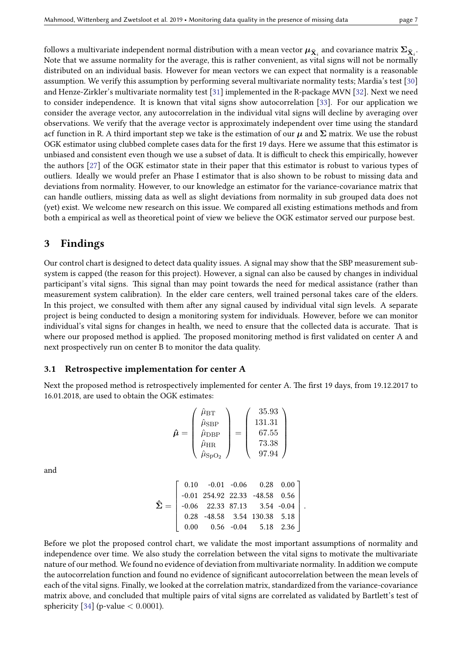follows a multivariate independent normal distribution with a mean vector  $\mu_{\bar{\mathbf{X}}_i}$  and covariance matrix  $\Sigma_{\bar{\mathbf{X}}_i}$ . Note that we assume normality for the average, this is rather convenient, as vital signs will not be normally distributed on an individual basis. However for mean vectors we can expect that normality is a reasonable assumption. We verify this assumption by performing several multivariate normality tests; Mardia's test [\[30\]](#page-11-10) and Henze-Zirkler's multivariate normality test [\[31\]](#page-11-11) implemented in the R-package MVN [\[32\]](#page-11-12). Next we need to consider independence. It is known that vital signs show autocorrelation [\[33\]](#page-11-13). For our application we consider the average vector, any autocorrelation in the individual vital signs will decline by averaging over observations. We verify that the average vector is approximately independent over time using the standard acf function in R. A third important step we take is the estimation of our  $\mu$  and  $\Sigma$  matrix. We use the robust OGK estimator using clubbed complete cases data for the first 19 days. Here we assume that this estimator is unbiased and consistent even though we use a subset of data. It is difficult to check this empirically, however the authors [\[27\]](#page-11-7) of the OGK estimator state in their paper that this estimator is robust to various types of outliers. Ideally we would prefer an Phase I estimator that is also shown to be robust to missing data and deviations from normality. However, to our knowledge an estimator for the variance-covariance matrix that can handle outliers, missing data as well as slight deviations from normality in sub grouped data does not (yet) exist. We welcome new research on this issue. We compared all existing estimations methods and from both a empirical as well as theoretical point of view we believe the OGK estimator served our purpose best.

### <span id="page-6-0"></span>3 Findings

Our control chart is designed to detect data quality issues. A signal may show that the SBP measurement subsystem is capped (the reason for this project). However, a signal can also be caused by changes in individual participant's vital signs. This signal than may point towards the need for medical assistance (rather than measurement system calibration). In the elder care centers, well trained personal takes care of the elders. In this project, we consulted with them after any signal caused by individual vital sign levels. A separate project is being conducted to design a monitoring system for individuals. However, before we can monitor individual's vital signs for changes in health, we need to ensure that the collected data is accurate. That is where our proposed method is applied. The proposed monitoring method is first validated on center A and next prospectively run on center B to monitor the data quality.

#### 3.1 Retrospective implementation for center A

Next the proposed method is retrospectively implemented for center A. The first 19 days, from 19.12.2017 to 16.01.2018, are used to obtain the OGK estimates:

$$
\hat{\mu} = \begin{pmatrix} \hat{\mu}_{\rm BT} \\ \hat{\mu}_{\rm SBP} \\ \hat{\mu}_{\rm DBP} \\ \hat{\mu}_{\rm HR} \\ \hat{\mu}_{\rm SpO_2} \end{pmatrix} = \begin{pmatrix} 35.93 \\ 131.31 \\ 67.55 \\ 73.38 \\ 97.94 \end{pmatrix}
$$

and

$$
\hat{\mathbf{\Sigma}} = \left[\begin{array}{cccc} 0.10 & -0.01 & -0.06 & 0.28 & 0.00 \\ -0.01 & 254.92 & 22.33 & -48.58 & 0.56 \\ -0.06 & 22.33 & 87.13 & 3.54 & -0.04 \\ 0.28 & -48.58 & 3.54 & 130.38 & 5.18 \\ 0.00 & 0.56 & -0.04 & 5.18 & 2.36 \end{array}\right].
$$

Before we plot the proposed control chart, we validate the most important assumptions of normality and independence over time. We also study the correlation between the vital signs to motivate the multivariate nature of our method. We found no evidence of deviation from multivariate normality. In addition we compute the autocorrelation function and found no evidence of significant autocorrelation between the mean levels of each of the vital signs. Finally, we looked at the correlation matrix, standardized from the variance-covariance matrix above, and concluded that multiple pairs of vital signs are correlated as validated by Bartlett's test of sphericity [\[34\]](#page-11-14) (p-value *<* 0*.*0001).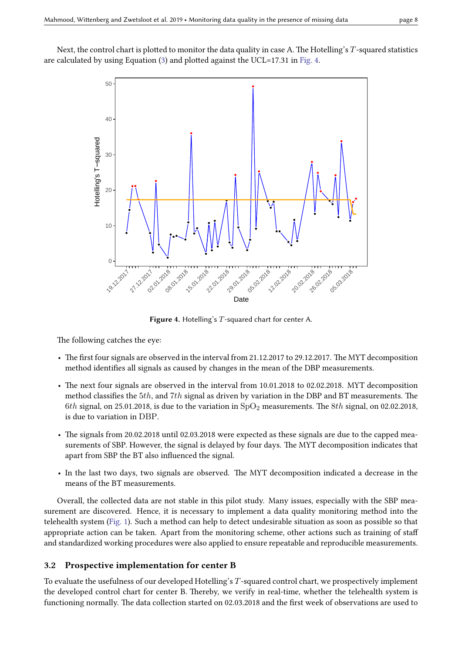<span id="page-7-0"></span>Next, the control chart is plotted to monitor the data quality in case A. The Hotelling's *T*-squared statistics are calculated by using Equation  $(3)$  and plotted against the UCL=17.31 in [Fig. 4.](#page-7-0)



Figure 4. Hotelling's *T*-squared chart for center A.

The following catches the eye:

- The first four signals are observed in the interval from 21.12.2017 to 29.12.2017. The MYT decomposition method identifies all signals as caused by changes in the mean of the DBP measurements.
- The next four signals are observed in the interval from 10.01.2018 to 02.02.2018. MYT decomposition method classifies the 5*th*, and 7*th* signal as driven by variation in the DBP and BT measurements. The 6*th* signal, on 25.01.2018, is due to the variation in  $SpO<sub>2</sub>$  measurements. The 8*th* signal, on 02.02.2018, is due to variation in DBP.
- The signals from 20.02.2018 until 02.03.2018 were expected as these signals are due to the capped measurements of SBP. However, the signal is delayed by four days. The MYT decomposition indicates that apart from SBP the BT also influenced the signal.
- In the last two days, two signals are observed. The MYT decomposition indicated a decrease in the means of the BT measurements.

Overall, the collected data are not stable in this pilot study. Many issues, especially with the SBP measurement are discovered. Hence, it is necessary to implement a data quality monitoring method into the telehealth system [\(Fig. 1\)](#page-1-0). Such a method can help to detect undesirable situation as soon as possible so that appropriate action can be taken. Apart from the monitoring scheme, other actions such as training of sta and standardized working procedures were also applied to ensure repeatable and reproducible measurements.

### 3.2 Prospective implementation for center B

To evaluate the usefulness of our developed Hotelling's *T*-squared control chart, we prospectively implement the developed control chart for center B. Thereby, we verify in real-time, whether the telehealth system is functioning normally. The data collection started on 02.03.2018 and the first week of observations are used to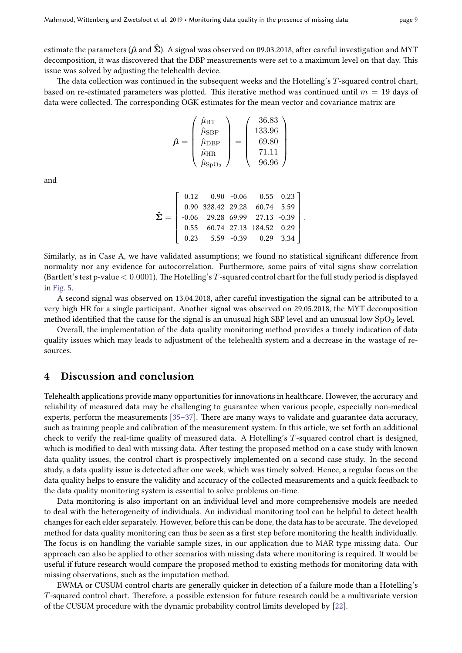estimate the parameters ( $\hat{\mu}$  and  $\hat{\Sigma}$ ). A signal was observed on 09.03.2018, after careful investigation and MYT decomposition, it was discovered that the DBP measurements were set to a maximum level on that day. This issue was solved by adjusting the telehealth device.

The data collection was continued in the subsequent weeks and the Hotelling's T-squared control chart, based on re-estimated parameters was plotted. This iterative method was continued until  $m = 19$  days of data were collected. The corresponding OGK estimates for the mean vector and covariance matrix are

$$
\hat{\boldsymbol{\mu}} = \begin{pmatrix} \hat{\mu}_{\mathrm{BT}} \\ \hat{\mu}_{\mathrm{SBP}} \\ \hat{\mu}_{\mathrm{DBP}} \\ \hat{\mu}_{\mathrm{HR}} \\ \hat{\mu}_{\mathrm{SpO}_2} \end{pmatrix} = \begin{pmatrix} 36.83 \\ 133.96 \\ 69.80 \\ 71.11 \\ 96.96 \end{pmatrix}
$$

and

$$
\hat{\mathbf{\Sigma}} = \left[\begin{array}{cccc} 0.12 & 0.90 & -0.06 & 0.55 & 0.23 \\ 0.90 & 328.42 & 29.28 & 60.74 & 5.59 \\ -0.06 & 29.28 & 69.99 & 27.13 & -0.39 \\ 0.55 & 60.74 & 27.13 & 184.52 & 0.29 \\ 0.23 & 5.59 & -0.39 & 0.29 & 3.34 \end{array}\right].
$$

Similarly, as in Case A, we have validated assumptions; we found no statistical significant difference from normality nor any evidence for autocorrelation. Furthermore, some pairs of vital signs show correlation (Bartlett's test p-value  $< 0.0001$ ). The Hotelling's T-squared control chart for the full study period is displayed in [Fig. 5.](#page-9-2)

A second signal was observed on 13.04.2018, after careful investigation the signal can be attributed to a very high HR for a single participant. Another signal was observed on 29.05.2018, the MYT decomposition method identified that the cause for the signal is an unusual high SBP level and an unusual low  $SpO<sub>2</sub>$  level.

Overall, the implementation of the data quality monitoring method provides a timely indication of data quality issues which may leads to adjustment of the telehealth system and a decrease in the wastage of resources.

### 4 Discussion and conclusion

Telehealth applications provide many opportunities for innovations in healthcare. However, the accuracy and reliability of measured data may be challenging to guarantee when various people, especially non-medical experts, perform the measurements  $[35-37]$  $[35-37]$ . There are many ways to validate and guarantee data accuracy, such as training people and calibration of the measurement system. In this article, we set forth an additional check to verify the real-time quality of measured data. A Hotelling's *T*-squared control chart is designed, which is modified to deal with missing data. After testing the proposed method on a case study with known data quality issues, the control chart is prospectively implemented on a second case study. In the second study, a data quality issue is detected after one week, which was timely solved. Hence, a regular focus on the data quality helps to ensure the validity and accuracy of the collected measurements and a quick feedback to the data quality monitoring system is essential to solve problems on-time.

Data monitoring is also important on an individual level and more comprehensive models are needed to deal with the heterogeneity of individuals. An individual monitoring tool can be helpful to detect health changes for each elder separately. However, before this can be done, the data has to be accurate. The developed method for data quality monitoring can thus be seen as a first step before monitoring the health individually. e focus is on handling the variable sample sizes, in our application due to MAR type missing data. Our approach can also be applied to other scenarios with missing data where monitoring is required. It would be useful if future research would compare the proposed method to existing methods for monitoring data with missing observations, such as the imputation method.

EWMA or CUSUM control charts are generally quicker in detection of a failure mode than a Hotelling's *T*-squared control chart. Therefore, a possible extension for future research could be a multivariate version of the CUSUM procedure with the dynamic probability control limits developed by [\[22\]](#page-11-1).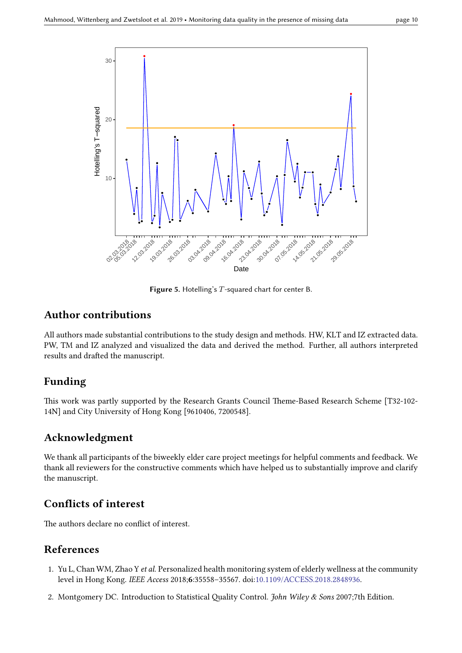<span id="page-9-2"></span>

Figure 5. Hotelling's *T*-squared chart for center B.

# Author contributions

All authors made substantial contributions to the study design and methods. HW, KLT and IZ extracted data. PW, TM and IZ analyzed and visualized the data and derived the method. Further, all authors interpreted results and drafted the manuscript.

# Funding

This work was partly supported by the Research Grants Council Theme-Based Research Scheme [T32-102-14N] and City University of Hong Kong [9610406, 7200548].

# Acknowledgment

We thank all participants of the biweekly elder care project meetings for helpful comments and feedback. We thank all reviewers for the constructive comments which have helped us to substantially improve and clarify the manuscript.

# Conflicts of interest

The authors declare no conflict of interest.

# References

- <span id="page-9-0"></span>1. Yu L, Chan WM, Zhao Y et al. Personalized health monitoring system of elderly wellness at the community level in Hong Kong. IEEE Access 2018;6:35558–35567. doi[:10.1109/ACCESS.2018.2848936.](http://dx.doi.org/10.1109/ACCESS.2018.2848936)
- <span id="page-9-1"></span>2. Montgomery DC. Introduction to Statistical Quality Control. John Wiley & Sons 2007;7th Edition.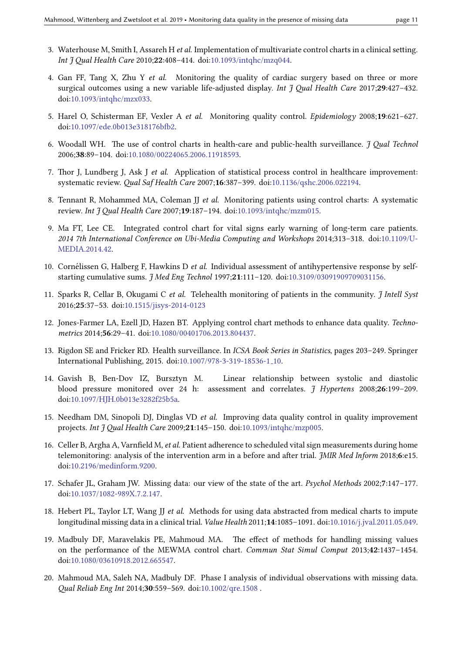- 
- <span id="page-10-0"></span>3. Waterhouse M, Smith I, Assareh H et al. Implementation of multivariate control charts in a clinical setting. Int J Qual Health Care 2010;22:408-414. doi[:10.1093/intqhc/mzq044.](http://dx.doi.org/10.1093/intqhc/mzq044)
- <span id="page-10-1"></span>4. Gan FF, Tang X, Zhu Y et al. Monitoring the quality of cardiac surgery based on three or more surgical outcomes using a new variable life-adjusted display. Int J Qual Health Care 2017;29:427-432. doi[:10.1093/intqhc/mzx033.](http://dx.doi.org/10.1093/intqhc/mzx033)
- <span id="page-10-2"></span>5. Harel O, Schisterman EF, Vexler A et al. Monitoring quality control. Epidemiology 2008;19:621–627. doi:10.1097/ede.0b013e318176bfb2.
- <span id="page-10-3"></span>6. Woodall WH. The use of control charts in health-care and public-health surveillance.  $\tilde{\jmath}$  Qual Technol 2006;38:89–104. doi[:10.1080/00224065.2006.11918593.](http://dx.doi.org/10.1080/00224065.2006.11918593)
- 7. Thor J, Lundberg J, Ask J et al. Application of statistical process control in healthcare improvement: systematic review. Qual Saf Health Care 2007;16:387-399. doi[:10.1136/qshc.2006.022194.](http://dx.doi.org/10.1136/qshc.2006.022194)
- <span id="page-10-4"></span>8. Tennant R, Mohammed MA, Coleman JJ et al. Monitoring patients using control charts: A systematic review. Int J Qual Health Care 2007;19:187-194. doi[:10.1093/intqhc/mzm015.](http://dx.doi.org/10.1093/intqhc/mzm015)
- <span id="page-10-5"></span>9. Ma FT, Lee CE. Integrated control chart for vital signs early warning of long-term care patients. 2014 7th International Conference on Ubi-Media Computing and Workshops 2014;313–318. doi[:10.1109/U-](http://dx.doi.org/10.1109/U-MEDIA.2014.42)[MEDIA.2014.42.](http://dx.doi.org/10.1109/U-MEDIA.2014.42)
- <span id="page-10-6"></span>10. Cornélissen G, Halberg F, Hawkins D et al. Individual assessment of antihypertensive response by selfstarting cumulative sums. *J Med Eng Technol* 1997;21:111-120. doi[:10.3109/03091909709031156.](http://dx.doi.org/10.3109/03091909709031156)
- <span id="page-10-7"></span>11. Sparks R, Cellar B, Okugami C et al. Telehealth monitoring of patients in the community.  $\tilde{\mathcal{J}}$  Intell Syst 2016;25:37–53. doi[:10.1515/jisys-2014-0123](http://dx.doi.org/10.1515/jisys-2014-0123)
- <span id="page-10-8"></span>12. Jones-Farmer LA, Ezell JD, Hazen BT. Applying control chart methods to enhance data quality. Technometrics 2014;56:29–41. doi[:10.1080/00401706.2013.804437.](http://dx.doi.org/10.1080/00401706.2013.804437)
- <span id="page-10-9"></span>13. Rigdon SE and Fricker RD. Health surveillance. In ICSA Book Series in Statistics, pages 203–249. Springer International Publishing, 2015. doi[:10.1007/978-3-319-18536-1](http://dx.doi.org/10.1007/978-3-319-18536-1_10) 10.
- <span id="page-10-10"></span>14. Gavish B, Ben-Dov IZ, Bursztyn M. Linear relationship between systolic and diastolic blood pressure monitored over 24 h: assessment and correlates. J Hypertens 2008;26:199–209. doi[:10.1097/HJH.0b013e3282f25b5a.](http://dx.doi.org/10.1097/HJH.0b013e3282f25b5a)
- <span id="page-10-11"></span>15. Needham DM, Sinopoli DJ, Dinglas VD et al. Improving data quality control in quality improvement projects. Int J Qual Health Care 2009;21:145-150. doi[:10.1093/intqhc/mzp005.](http://dx.doi.org/10.1093/intqhc/mzp005)
- <span id="page-10-12"></span>16. Celler B, Argha A, Varnfield M, et al. Patient adherence to scheduled vital sign measurements during home telemonitoring: analysis of the intervention arm in a before and after trial. *JMIR Med Inform* 2018;6:e15. doi[:10.2196/medinform.9200.](http://dx.doi.org/10.2196/medinform.9200)
- <span id="page-10-13"></span>17. Schafer JL, Graham JW. Missing data: our view of the state of the art. Psychol Methods 2002;7:147–177. doi[:10.1037/1082-989X.7.2.147.](http://dx.doi.org/10.1037/1082-989X.7.2.147)
- <span id="page-10-14"></span>18. Hebert PL, Taylor LT, Wang JJ et al. Methods for using data abstracted from medical charts to impute longitudinal missing data in a clinical trial. Value Health 2011;14:1085–1091. doi[:10.1016/j.jval.2011.05.049.](http://dx.doi.org/10.1016/j.jval.2011.05.049)
- <span id="page-10-15"></span>19. Madbuly DF, Maravelakis PE, Mahmoud MA. The effect of methods for handling missing values on the performance of the MEWMA control chart. Commun Stat Simul Comput 2013;42:1437–1454. doi[:10.1080/03610918.2012.665547.](http://dx.doi.org/10.1080/03610918.2012.665547)
- <span id="page-10-16"></span>20. Mahmoud MA, Saleh NA, Madbuly DF. Phase I analysis of individual observations with missing data. al Reliab Eng Int 2014;30:559–569. doi[:10.1002/qre.1508](http://dx.doi.org/10.1002/qre.1508 ) .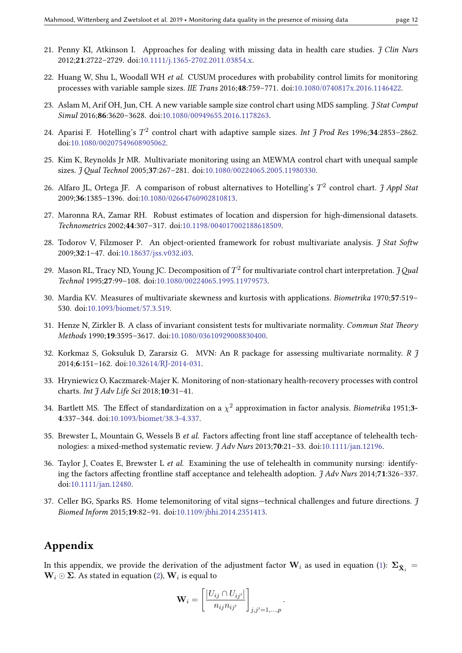- <span id="page-11-0"></span>21. Penny KI, Atkinson I. Approaches for dealing with missing data in health care studies.  $\frac{f}{f}$  Clin Nurs 2012;21:2722–2729. doi[:10.1111/j.1365-2702.2011.03854.x.](http://dx.doi.org/10.1111/j.1365-2702.2011.03854.x)
- <span id="page-11-1"></span>22. Huang W, Shu L, Woodall WH et al. CUSUM procedures with probability control limits for monitoring processes with variable sample sizes. IIE Trans 2016;48:759–771. doi[:10.1080/0740817x.2016.1146422.](http://dx.doi.org/10.1080/0740817x.2016.1146422)
- <span id="page-11-2"></span>23. Aslam M, Arif OH, Jun, CH. A new variable sample size control chart using MDS sampling. *J Stat Comput* Simul 2016;86:3620–3628. doi[:10.1080/00949655.2016.1178263.](http://dx.doi.org/10.1080/00949655.2016.1178263)
- <span id="page-11-3"></span>24. Aparisi F. Hotelling's  $T^2$  control chart with adaptive sample sizes. Int J Prod Res 1996;34:2853-2862. doi[:10.1080/00207549608905062.](http://dx.doi.org/10.1080/00207549608905062)
- <span id="page-11-4"></span>25. Kim K, Reynolds Jr MR. Multivariate monitoring using an MEWMA control chart with unequal sample sizes. *J Qual Technol* 2005;37:267-281. doi[:10.1080/00224065.2005.11980330.](http://dx.doi.org/10.1080/00224065.2005.11980330)
- <span id="page-11-6"></span>26. Alfaro JL, Ortega JF. A comparison of robust alternatives to Hotelling's  $T^2$  control chart. J Appl Stat 2009;36:1385–1396. doi[:10.1080/02664760902810813.](http://dx.doi.org/10.1080/02664760902810813)
- <span id="page-11-7"></span>27. Maronna RA, Zamar RH. Robust estimates of location and dispersion for high-dimensional datasets. Technometrics 2002;44:307–317. doi[:10.1198/004017002188618509.](http://dx.doi.org/10.1198/004017002188618509)
- <span id="page-11-8"></span>28. Todorov V, Filzmoser P. An object-oriented framework for robust multivariate analysis.  $\frac{1}{7}$  Stat Softw 2009;32:1–47. doi[:10.18637/jss.v032.i03.](http://dx.doi.org/10.18637/jss.v032.i03)
- <span id="page-11-9"></span>29. Mason RL, Tracy ND, Young JC. Decomposition of  $T^2$  for multivariate control chart interpretation.  $\it J\,Qual$ Technol 1995;27:99–108. doi[:10.1080/00224065.1995.11979573.](http://dx.doi.org/10.1080/00224065.1995.11979573)
- <span id="page-11-10"></span>30. Mardia KV. Measures of multivariate skewness and kurtosis with applications. Biometrika 1970;57:519– 530. doi[:10.1093/biomet/57.3.519.](http://dx.doi.org/10.1093/biomet/57.3.519)
- <span id="page-11-11"></span>31. Henze N, Zirkler B. A class of invariant consistent tests for multivariate normality. Commun Stat Theory Methods 1990;19:3595–3617. doi[:10.1080/03610929008830400.](http://dx.doi.org/10.1080/03610929008830400)
- <span id="page-11-12"></span>32. Korkmaz S, Goksuluk D, Zararsiz G. MVN: An R package for assessing multivariate normality. R  $\tilde{J}$ 2014;6:151–162. doi[:10.32614/RJ-2014-031.](http://dx.doi.org/10.32614/RJ-2014-031)
- <span id="page-11-13"></span>33. Hryniewicz O, Kaczmarek-Majer K. Monitoring of non-stationary health-recovery processes with control charts. Int  $\frac{7}{4}$  Adv Life Sci 2018;10:31-41.
- <span id="page-11-14"></span>34. Bartlett MS. The Effect of standardization on a  $\chi^2$  approximation in factor analysis. *Biometrika* 1951;3-4:337–344. doi[:10.1093/biomet/38.3-4.337.](http://dx.doi.org/10.1093/biomet/38.3-4.337)
- <span id="page-11-15"></span>35. Brewster L, Mountain G, Wessels B et al. Factors affecting front line staff acceptance of telehealth technologies: a mixed-method systematic review.  $\frac{7}{4}$  Adv Nurs 2013;70:21-33. doi[:10.1111/jan.12196.](http://dx.doi.org/10.1111/jan.12196)
- 36. Taylor J, Coates E, Brewster L *et al.* Examining the use of telehealth in community nursing: identifying the factors affecting frontline staff acceptance and telehealth adoption.  $\frac{1}{J}$  Adv Nurs 2014;71:326–337. doi[:10.1111/jan.12480.](http://dx.doi.org/10.1111/jan.12480)
- <span id="page-11-16"></span>37. Celler BG, Sparks RS. Home telemonitoring of vital signs—technical challenges and future directions. J Biomed Inform 2015;19:82–91. doi[:10.1109/jbhi.2014.2351413.](http://dx.doi.org/10.1109/jbhi.2014.2351413)

# <span id="page-11-5"></span>Appendix

In this appendix, we provide the derivation of the adjustment factor  $\mathbf{W}_i$  as used in equation [\(1\)](#page-4-2):  $\boldsymbol{\Sigma}_{\bar{{\mathbf{X}}}_i} =$  $\mathbf{W}_i$  ⊙  $\mathbf{\Sigma}.$  As stated in equation [\(2\)](#page-4-3),  $\mathbf{W}_i$  is equal to

$$
\mathbf{W}_i = \left[\frac{|U_{ij} \cap U_{ij'}|}{n_{ij}n_{ij'}}\right]_{j,j'=1,\dots,p}.
$$